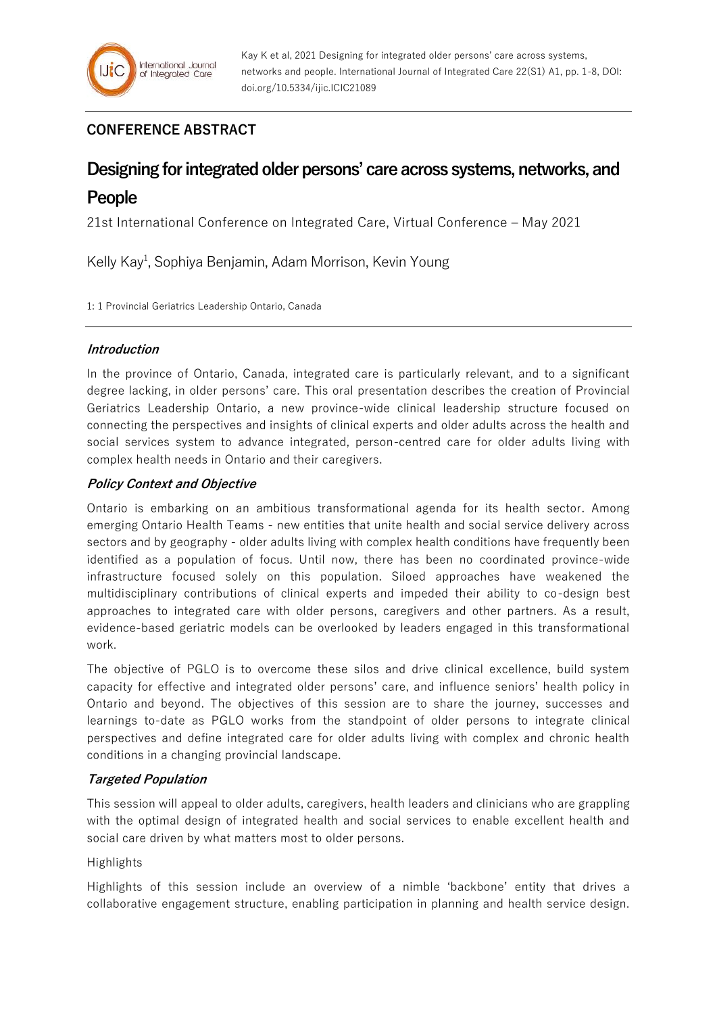## **CONFERENCE ABSTRACT**

# **Designing for integrated older persons' care across systems, networks, and People**

21st International Conference on Integrated Care, Virtual Conference – May 2021

Kelly Kay<sup>1</sup>, Sophiya Benjamin, Adam Morrison, Kevin Young

1: 1 Provincial Geriatrics Leadership Ontario, Canada

## **Introduction**

In the province of Ontario, Canada, integrated care is particularly relevant, and to a significant degree lacking, in older persons' care. This oral presentation describes the creation of Provincial Geriatrics Leadership Ontario, a new province-wide clinical leadership structure focused on connecting the perspectives and insights of clinical experts and older adults across the health and social services system to advance integrated, person-centred care for older adults living with complex health needs in Ontario and their caregivers.

## **Policy Context and Objective**

Ontario is embarking on an ambitious transformational agenda for its health sector. Among emerging Ontario Health Teams - new entities that unite health and social service delivery across sectors and by geography - older adults living with complex health conditions have frequently been identified as a population of focus. Until now, there has been no coordinated province-wide infrastructure focused solely on this population. Siloed approaches have weakened the multidisciplinary contributions of clinical experts and impeded their ability to co-design best approaches to integrated care with older persons, caregivers and other partners. As a result, evidence-based geriatric models can be overlooked by leaders engaged in this transformational work.

The objective of PGLO is to overcome these silos and drive clinical excellence, build system capacity for effective and integrated older persons' care, and influence seniors' health policy in Ontario and beyond. The objectives of this session are to share the journey, successes and learnings to-date as PGLO works from the standpoint of older persons to integrate clinical perspectives and define integrated care for older adults living with complex and chronic health conditions in a changing provincial landscape.

## **Targeted Population**

This session will appeal to older adults, caregivers, health leaders and clinicians who are grappling with the optimal design of integrated health and social services to enable excellent health and social care driven by what matters most to older persons.

#### Highlights

Highlights of this session include an overview of a nimble 'backbone' entity that drives a collaborative engagement structure, enabling participation in planning and health service design.